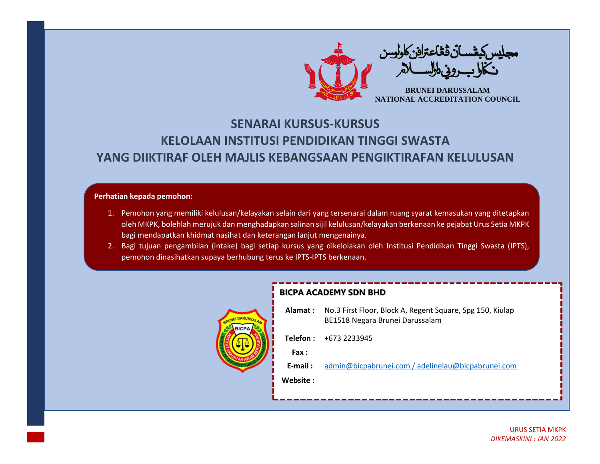

## **SENARAI KURSUS-KURSUS KELOLAAN INSTITUSI PENDIDIKAN TINGGI SWASTA YANG DIIKTIRAF OLEH MAJLIS KEBANGSAAN PENGIKTIRAFAN KELULUSAN**

## **Perhatian kepada pemohon:**

- 1. Pemohon yang memiliki kelulusan/kelayakan selain dari yang tersenarai dalam ruang syarat kemasukan yang ditetapkan oleh MKPK, bolehlah merujuk dan menghadapkan salinan sijil kelulusan/kelayakan berkenaan ke pejabat Urus Setia MKPK bagi mendapatkan khidmat nasihat dan keterangan lanjut mengenainya.
- 2. Bagi tujuan pengambilan (intake) bagi setiap kursus yang dikelolakan oleh Institusi Pendidikan Tinggi Swasta (IPTS), pemohon dinasihatkan supaya berhubung terus ke IPTS-IPTS berkenaan.



## **BICPA ACADEMY SDN BHD**

| Alamat :     | No.3 First Floor, Block A, Regent Square, Spg 150, Kiulap<br>BE1518 Negara Brunei Darussalam |  |
|--------------|----------------------------------------------------------------------------------------------|--|
|              | <b>Telefon:</b> $+6732233945$                                                                |  |
| <b>Fax</b> : |                                                                                              |  |
| $E$ -mail:   | admin@bicpabrunei.com / adelinelau@bicpabrunei.com                                           |  |
| Website :    |                                                                                              |  |
|              |                                                                                              |  |